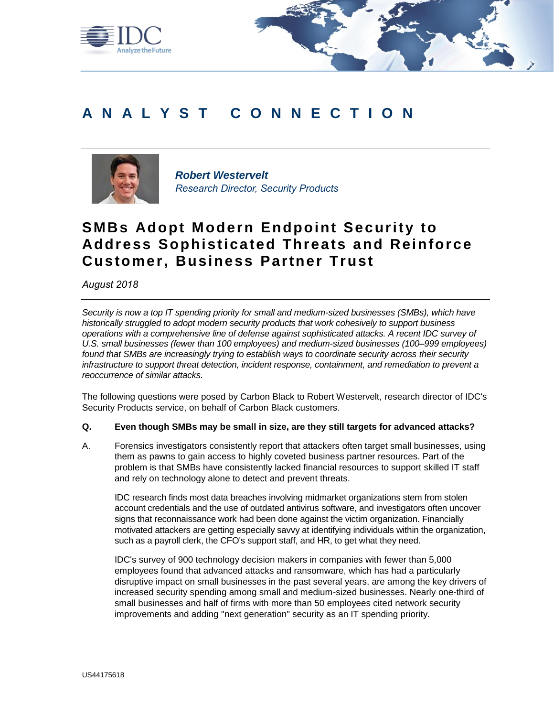

# **A N A L Y S T C O N N E C T I O N**



*Robert Westervelt Research Director, Security Products*

## **SMBs Adopt Modern Endpoint Security to Address Sophisticated Threats and Reinforce Customer, Business Partner Trust**

*August 2018*

*Security is now a top IT spending priority for small and medium-sized businesses (SMBs), which have historically struggled to adopt modern security products that work cohesively to support business operations with a comprehensive line of defense against sophisticated attacks. A recent IDC survey of U.S. small businesses (fewer than 100 employees) and medium-sized businesses (100–999 employees) found that SMBs are increasingly trying to establish ways to coordinate security across their security infrastructure to support threat detection, incident response, containment, and remediation to prevent a reoccurrence of similar attacks.*

The following questions were posed by Carbon Black to Robert Westervelt, research director of IDC's Security Products service, on behalf of Carbon Black customers.

### **Q. Even though SMBs may be small in size, are they still targets for advanced attacks?**

A. Forensics investigators consistently report that attackers often target small businesses, using them as pawns to gain access to highly coveted business partner resources. Part of the problem is that SMBs have consistently lacked financial resources to support skilled IT staff and rely on technology alone to detect and prevent threats.

IDC research finds most data breaches involving midmarket organizations stem from stolen account credentials and the use of outdated antivirus software, and investigators often uncover signs that reconnaissance work had been done against the victim organization. Financially motivated attackers are getting especially savvy at identifying individuals within the organization, such as a payroll clerk, the CFO's support staff, and HR, to get what they need.

IDC's survey of 900 technology decision makers in companies with fewer than 5,000 employees found that advanced attacks and ransomware, which has had a particularly disruptive impact on small businesses in the past several years, are among the key drivers of increased security spending among small and medium-sized businesses. Nearly one-third of small businesses and half of firms with more than 50 employees cited network security improvements and adding "next generation" security as an IT spending priority.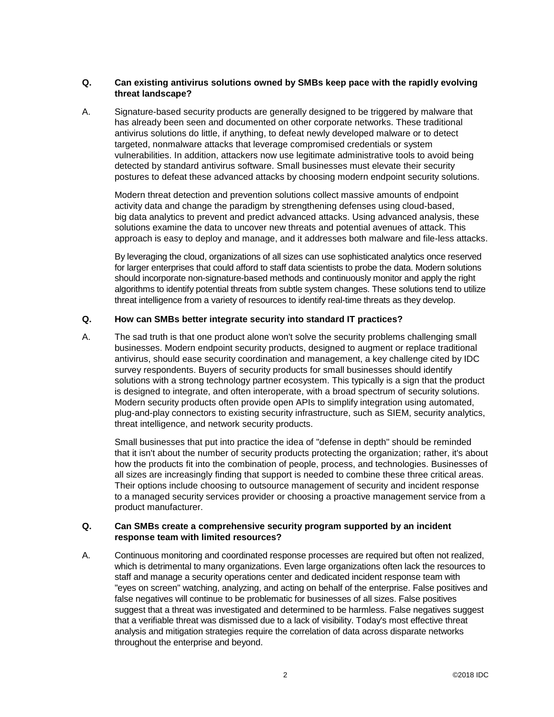## **Q. Can existing antivirus solutions owned by SMBs keep pace with the rapidly evolving threat landscape?**

A. Signature-based security products are generally designed to be triggered by malware that has already been seen and documented on other corporate networks. These traditional antivirus solutions do little, if anything, to defeat newly developed malware or to detect targeted, nonmalware attacks that leverage compromised credentials or system vulnerabilities. In addition, attackers now use legitimate administrative tools to avoid being detected by standard antivirus software. Small businesses must elevate their security postures to defeat these advanced attacks by choosing modern endpoint security solutions.

Modern threat detection and prevention solutions collect massive amounts of endpoint activity data and change the paradigm by strengthening defenses using cloud-based, big data analytics to prevent and predict advanced attacks. Using advanced analysis, these solutions examine the data to uncover new threats and potential avenues of attack. This approach is easy to deploy and manage, and it addresses both malware and file-less attacks.

By leveraging the cloud, organizations of all sizes can use sophisticated analytics once reserved for larger enterprises that could afford to staff data scientists to probe the data. Modern solutions should incorporate non-signature-based methods and continuously monitor and apply the right algorithms to identify potential threats from subtle system changes. These solutions tend to utilize threat intelligence from a variety of resources to identify real-time threats as they develop.

## **Q. How can SMBs better integrate security into standard IT practices?**

A. The sad truth is that one product alone won't solve the security problems challenging small businesses. Modern endpoint security products, designed to augment or replace traditional antivirus, should ease security coordination and management, a key challenge cited by IDC survey respondents. Buyers of security products for small businesses should identify solutions with a strong technology partner ecosystem. This typically is a sign that the product is designed to integrate, and often interoperate, with a broad spectrum of security solutions. Modern security products often provide open APIs to simplify integration using automated, plug-and-play connectors to existing security infrastructure, such as SIEM, security analytics, threat intelligence, and network security products.

Small businesses that put into practice the idea of "defense in depth" should be reminded that it isn't about the number of security products protecting the organization; rather, it's about how the products fit into the combination of people, process, and technologies. Businesses of all sizes are increasingly finding that support is needed to combine these three critical areas. Their options include choosing to outsource management of security and incident response to a managed security services provider or choosing a proactive management service from a product manufacturer.

#### **Q. Can SMBs create a comprehensive security program supported by an incident response team with limited resources?**

A. Continuous monitoring and coordinated response processes are required but often not realized, which is detrimental to many organizations. Even large organizations often lack the resources to staff and manage a security operations center and dedicated incident response team with "eyes on screen" watching, analyzing, and acting on behalf of the enterprise. False positives and false negatives will continue to be problematic for businesses of all sizes. False positives suggest that a threat was investigated and determined to be harmless. False negatives suggest that a verifiable threat was dismissed due to a lack of visibility. Today's most effective threat analysis and mitigation strategies require the correlation of data across disparate networks throughout the enterprise and beyond.